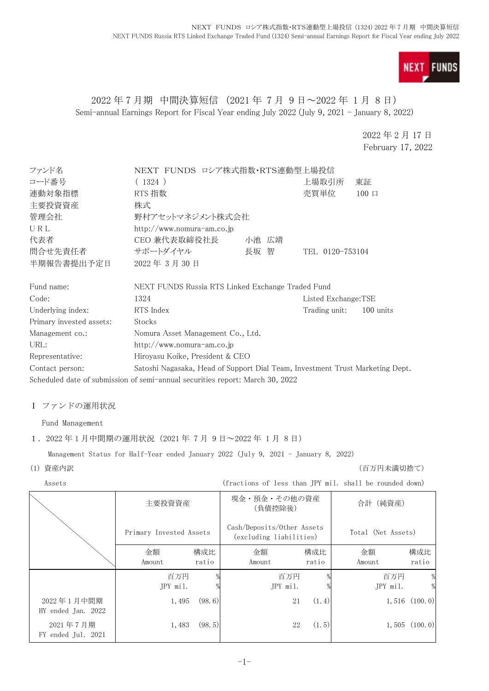

# 2022 年 7 月期 中間決算短信 (2021 年 7 月 9 日~2022 年 1 月 8 日) Semi-annual Earnings Report for Fiscal Year ending July 2022 (July 9, 2021 - January 8, 2022)

2022 年 2 月 17 日 February 17, 2022

| ファンド名                    | NEXT FUNDS ロシア株式指数・RTS連動型上場投信                                                 |       |                     |            |
|--------------------------|-------------------------------------------------------------------------------|-------|---------------------|------------|
| コード番号                    | (1324)                                                                        |       | 上場取引所               | 東証         |
| 連動対象指標                   | RTS 指数                                                                        |       | 売買単位                | $100 \Box$ |
| 主要投資資産                   | 株式                                                                            |       |                     |            |
| 管理会社                     | 野村アセットマネジメント株式会社                                                              |       |                     |            |
| URL                      | http://www.nomura-am.co.jp                                                    |       |                     |            |
| 代表者                      | CEO 兼代表取締役社長                                                                  | 小池 広靖 |                     |            |
| 間合せ先責任者                  | サポートダイヤル                                                                      | 長坂 智  | TEL 0120-753104     |            |
| 半期報告書提出予定日               | 2022年3月30日                                                                    |       |                     |            |
| Fund name:               | NEXT FUNDS Russia RTS Linked Exchange Traded Fund                             |       |                     |            |
| Code:                    | 1324                                                                          |       | Listed Exchange:TSE |            |
| Underlying index:        | RTS Index                                                                     |       | Trading unit:       | 100 units  |
| Primary invested assets: | Stocks                                                                        |       |                     |            |
| Management co.:          | Nomura Asset Management Co., Ltd.                                             |       |                     |            |
| URL:                     | http://www.nomura-am.co.jp                                                    |       |                     |            |
| Representative:          | Hiroyasu Koike, President & CEO                                               |       |                     |            |
| Contact person:          | Satoshi Nagasaka, Head of Support Dial Team, Investment Trust Marketing Dept. |       |                     |            |
|                          | Scheduled date of submission of semi-annual securities report: March 30, 2022 |       |                     |            |

### Ⅰ ファンドの運用状況

Fund Management

#### 1.2022 年 1 月中間期の運用状況(2021 年 7 月 9 日~2022 年 1 月 8 日)

Management Status for Half-Year ended January 2022 (July 9, 2021 - January 8, 2022)

(1) 資産内訳 (百万円未満切捨て)

| 主要投資資産 | 現金・預金・その他の資産<br>(負債控除後)        | (純資産)<br>合計 |
|--------|--------------------------------|-------------|
|        | $\sim$ $\sim$<br>$\sim$ $\sim$ |             |

|                                  | Primary Invested Assets |              | Cash/Deposits/Other Assets<br>(excluding liabilities) |              | Total (Net Assets) |                   |
|----------------------------------|-------------------------|--------------|-------------------------------------------------------|--------------|--------------------|-------------------|
|                                  | 金額<br>Amount            | 構成比<br>ratio | 金額<br>Amount                                          | 構成比<br>ratio | 金額<br>Amount       | 構成比<br>ratio      |
|                                  | 百万円<br>JPY mil.         |              | 百万円<br>JPY mil.                                       |              | 百万円<br>JPY mil.    | %<br>%            |
| 2022年1月中間期<br>HY ended Jan. 2022 | 1,495                   | (98, 6)      | 21                                                    | (1.4)        |                    | $1,516$ $(100.0)$ |
| 2021年7月期<br>FY ended Jul. 2021   | 1,483                   | (98, 5)      | 22                                                    | (1.5)        |                    | $1,505$ $(100.0)$ |

Assets (fractions of less than JPY mil. shall be rounded down)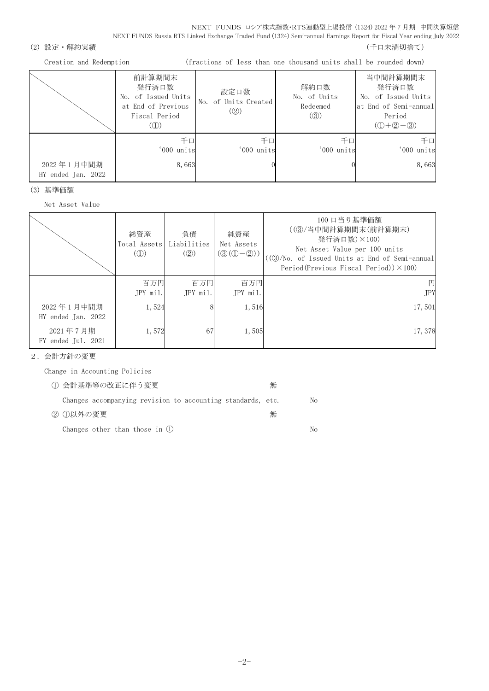NEXT FUNDS ロシア株式指数・RTS連動型上場投信 (1324) 2022 年 7 月期 中間決算短信 NEXT FUNDS Russia RTS Linked Exchange Traded Fund (1324) Semi-annual Earnings Report for Fiscal Year ending July 2022

(2) 設定・解約実績 (5) アンチュー インスター (5) アンチュー (5) アンチュー (千口未満切捨て)

Creation and Redemption (fractions of less than one thousand units shall be rounded down)

|                                  | 前計算期間末<br>発行済口数<br>No. of Issued Units<br>at End of Previous<br>Fiscal Period<br>(1) | 設定口数<br>No. of Units Created<br>(Q) | 解約口数<br>No. of Units<br>Redeemed<br>$\left( \circledS \right)$ | 当中間計算期間末<br>発行済口数<br>No. of Issued Units<br>at End of Semi-annual<br>Period<br>$(①+②-③)$ |
|----------------------------------|--------------------------------------------------------------------------------------|-------------------------------------|----------------------------------------------------------------|------------------------------------------------------------------------------------------|
| 2022年1月中間期<br>HY ended Jan. 2022 | 千口<br>'000 units<br>8,663                                                            | 千口<br>'000 units                    | 千口<br>'000 units                                               | 千口<br>'000 units<br>8,663                                                                |

(3) 基準価額

Net Asset Value

|                                  | 総資産<br>Total Assets<br>$\mathcal{L}(\mathbb{D})$ | 負債<br>Liabilities<br>(Q) | 純資産<br>Net Assets<br>$(3(0-2)$ | 100 口当り基準価額<br>((3)/当中間計算期間末(前計算期末)<br>発行済口数)×100)<br>Net Asset Value per 100 units<br>((③/No. of Issued Units at End of Semi-annual<br>Period(Previous Fiscal Period)) $\times$ 100) |
|----------------------------------|--------------------------------------------------|--------------------------|--------------------------------|---------------------------------------------------------------------------------------------------------------------------------------------------------------------------------------|
|                                  | 百万円<br>JPY mil.                                  | 百万円<br>$IPY$ mil.        | 百万円<br>JPY mil.                | <b>JPY</b>                                                                                                                                                                            |
| 2022年1月中間期<br>HY ended Jan. 2022 | 1,524                                            |                          | 1,516                          | 17,501                                                                                                                                                                                |
| 2021年7月期<br>FY ended Jul. 2021   | 1,572                                            | 67                       | 1,505                          | 17,378                                                                                                                                                                                |

2.会計方針の変更

Change in Accounting Policies

| ① 会計基準等の改正に伴う変更                                             | 無 |     |
|-------------------------------------------------------------|---|-----|
| Changes accompanying revision to accounting standards, etc. |   | No  |
| ② ①以外の変更                                                    | 無 |     |
| Changes other than those in $(l)$                           |   | No. |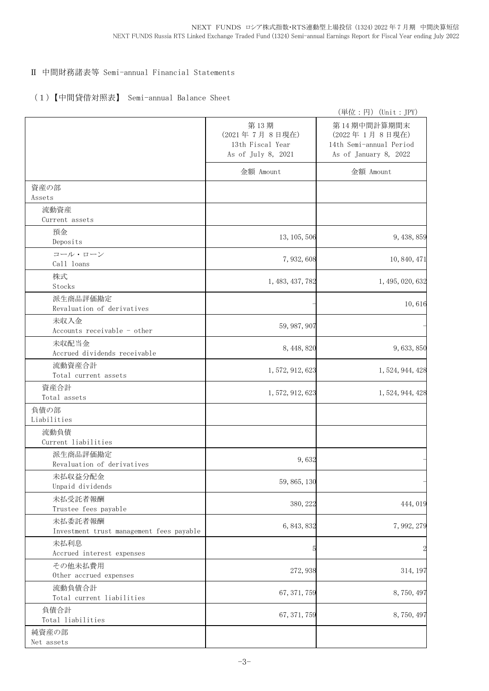# Ⅱ 中間財務諸表等 Semi-annual Financial Statements

## (1)【中間貸借対照表】 Semi-annual Balance Sheet

|                                                     |                                                                 | (単位:円) (Unit:JPY)                                                                |
|-----------------------------------------------------|-----------------------------------------------------------------|----------------------------------------------------------------------------------|
|                                                     | 第13期<br>(2021年7月8日現在)<br>13th Fiscal Year<br>As of July 8, 2021 | 第14期中間計算期間末<br>(2022年1月8日現在)<br>14th Semi-annual Period<br>As of January 8, 2022 |
|                                                     | 金額 Amount                                                       | 金額 Amount                                                                        |
| 資産の部<br>Assets                                      |                                                                 |                                                                                  |
| 流動資産<br>Current assets                              |                                                                 |                                                                                  |
| 預金<br>Deposits                                      | 13, 105, 506                                                    | 9, 438, 859                                                                      |
| コール・ローン<br>Call loans                               | 7, 932, 608                                                     | 10, 840, 471                                                                     |
| 株式<br>Stocks                                        | 1, 483, 437, 782                                                | 1, 495, 020, 632                                                                 |
| 派生商品評価勘定<br>Revaluation of derivatives              |                                                                 | 10,616                                                                           |
| 未収入金<br>Accounts receivable - other                 | 59, 987, 907                                                    |                                                                                  |
| 未収配当金<br>Accrued dividends receivable               | 8, 448, 820                                                     | 9,633,850                                                                        |
| 流動資産合計<br>Total current assets                      | 1, 572, 912, 623                                                | 1, 524, 944, 428                                                                 |
| 資産合計<br>Total assets                                | 1, 572, 912, 623                                                | 1, 524, 944, 428                                                                 |
| 負債の部<br>Liabilities                                 |                                                                 |                                                                                  |
| 流動負債<br>Current liabilities                         |                                                                 |                                                                                  |
| 派生商品評価勘定<br>Revaluation of derivatives              | 9,632                                                           |                                                                                  |
| 未払収益分配金<br>Unpaid dividends                         | 59, 865, 130                                                    |                                                                                  |
| 未払受託者報酬<br>Trustee fees payable                     | 380, 222                                                        | 444,019                                                                          |
| 未払委託者報酬<br>Investment trust management fees payable | 6, 843, 832                                                     | 7,992,279                                                                        |
| 未払利息<br>Accrued interest expenses                   | 5                                                               |                                                                                  |
| その他未払費用<br>Other accrued expenses                   | 272, 938                                                        | 314, 197                                                                         |
| 流動負債合計<br>Total current liabilities                 | 67, 371, 759                                                    | 8,750,497                                                                        |
| 負債合計<br>Total liabilities                           | 67, 371, 759                                                    | 8,750,497                                                                        |
| 純資産の部<br>Net assets                                 |                                                                 |                                                                                  |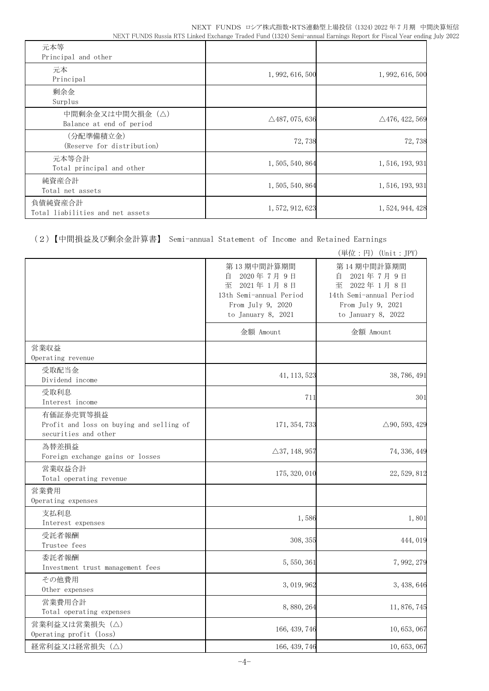| 元本等<br>Principal and other                  |                           |                           |
|---------------------------------------------|---------------------------|---------------------------|
| 元本<br>Principal                             | 1, 992, 616, 500          | 1, 992, 616, 500          |
| 剰余金<br>Surplus                              |                           |                           |
| 中間剰余金又は中間欠損金(△)<br>Balance at end of period | $\triangle$ 487, 075, 636 | $\triangle$ 476, 422, 569 |
| (分配準備積立金)<br>(Reserve for distribution)     | 72,738                    | 72,738                    |
| 元本等合計<br>Total principal and other          | 1, 505, 540, 864          | 1, 516, 193, 931          |
| 純資産合計<br>Total net assets                   | 1, 505, 540, 864          | 1, 516, 193, 931          |
| 負債純資産合計<br>Total liabilities and net assets | 1, 572, 912, 623          | 1, 524, 944, 428          |

(2)【中間損益及び剰余金計算書】 Semi-annual Statement of Income and Retained Earnings

|                                                                               |                                                                                                                      | (単位:円) (Unit: JPY)                                                                                                   |
|-------------------------------------------------------------------------------|----------------------------------------------------------------------------------------------------------------------|----------------------------------------------------------------------------------------------------------------------|
|                                                                               | 第13期中間計算期間<br>2020年7月9日<br>自<br>至<br>2021年1月8日<br>13th Semi-annual Period<br>From July 9, 2020<br>to January 8, 2021 | 第14期中間計算期間<br>2021年7月9日<br>目<br>至<br>2022年1月8日<br>14th Semi-annual Period<br>From July 9, 2021<br>to January 8, 2022 |
|                                                                               | 金額 Amount                                                                                                            | 金額 Amount                                                                                                            |
| 営業収益<br>Operating revenue                                                     |                                                                                                                      |                                                                                                                      |
| 受取配当金<br>Dividend income                                                      | 41, 113, 523                                                                                                         | 38, 786, 491                                                                                                         |
| 受取利息<br>Interest income                                                       | 711                                                                                                                  | 301                                                                                                                  |
| 有価証券売買等損益<br>Profit and loss on buying and selling of<br>securities and other | 171, 354, 733                                                                                                        | $\triangle$ 90, 593, 429                                                                                             |
| 為替差損益<br>Foreign exchange gains or losses                                     | $\triangle 37, 148, 957$                                                                                             | 74, 336, 449                                                                                                         |
| 営業収益合計<br>Total operating revenue                                             | 175, 320, 010                                                                                                        | 22, 529, 812                                                                                                         |
| 営業費用<br>Operating expenses                                                    |                                                                                                                      |                                                                                                                      |
| 支払利息<br>Interest expenses                                                     | 1,586                                                                                                                | 1,801                                                                                                                |
| 受託者報酬<br>Trustee fees                                                         | 308, 355                                                                                                             | 444, 019                                                                                                             |
| 委託者報酬<br>Investment trust management fees                                     | 5, 550, 361                                                                                                          | 7,992,279                                                                                                            |
| その他費用<br>Other expenses                                                       | 3, 019, 962                                                                                                          | 3, 438, 646                                                                                                          |
| 営業費用合計<br>Total operating expenses                                            | 8,880,264                                                                                                            | 11, 876, 745                                                                                                         |
| 営業利益又は営業損失 (△)<br>Operating profit (loss)                                     | 166, 439, 746                                                                                                        | 10, 653, 067                                                                                                         |
| 経常利益又は経常損失(△)                                                                 | 166, 439, 746                                                                                                        | 10, 653, 067                                                                                                         |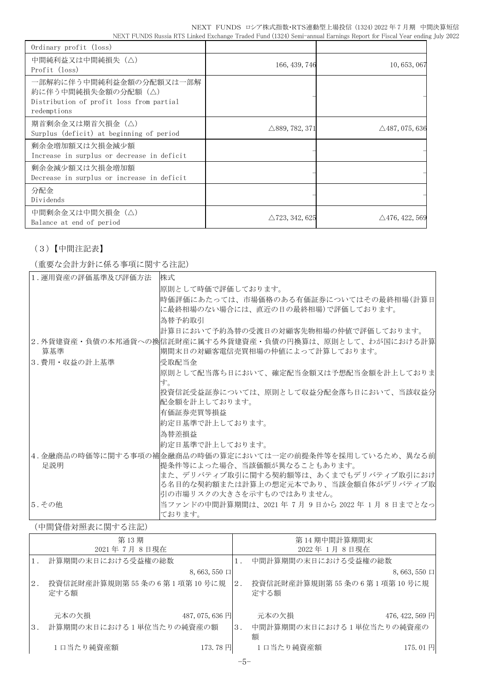NEXT FUNDS ロシア株式指数・RTS連動型上場投信 (1324) 2022 年 7 月期 中間決算短信 NEXT FUNDS Russia RTS Linked Exchange Traded Fund (1324) Semi-annual Earnings Report for Fiscal Year ending July 2022

| Ordinary profit (loss)                                                                                   |                           |                           |
|----------------------------------------------------------------------------------------------------------|---------------------------|---------------------------|
| 中間純利益又は中間純損失(△)<br>Profit (loss)                                                                         | 166, 439, 746             | 10, 653, 067              |
| 一部解約に伴う中間純利益金額の分配額又は一部解<br>約に伴う中間純損失金額の分配額(△)<br>Distribution of profit loss from partial<br>redemptions |                           |                           |
| 期首剰余金又は期首欠損金(△)<br>Surplus (deficit) at beginning of period                                              | $\triangle$ 889, 782, 371 | $\triangle$ 487, 075, 636 |
| 剰余金増加額又は欠損金減少額<br>Increase in surplus or decrease in deficit                                             |                           |                           |
| 剰余金減少額又は欠損金増加額<br>Decrease in surplus or increase in deficit                                             |                           |                           |
| 分配金<br>Dividends                                                                                         |                           |                           |
| 中間剰余金又は中間欠損金(△)<br>Balance at end of period                                                              | $\triangle$ 723, 342, 625 | $\triangle$ 476, 422, 569 |

# (3)【中間注記表】

### (重要な会計方針に係る事項に関する注記)

| 1. 運用資産の評価基準及び評価方法 | 株式                                                                                          |
|--------------------|---------------------------------------------------------------------------------------------|
|                    | 原則として時価で評価しております。                                                                           |
|                    | 時価評価にあたっては、市場価格のある有価証券についてはその最終相場(計算日                                                       |
|                    | に最終相場のない場合には、直近の日の最終相場)で評価しております。                                                           |
|                    | 為替予約取引                                                                                      |
|                    | 計算日において予約為替の受渡日の対顧客先物相場の仲値で評価しております。                                                        |
| 算基準                | 2.外貨建資産・負債の本邦通貨への換信託財産に属する外貨建資産・負債の円換算は、原則として、わが国における計算 <br> 期間末日の対顧客電信売買相場の仲値によって計算しております。 |
| 3.費用・収益の計上基準       | 受取配当金                                                                                       |
|                    | 原則として配当落ち日において、確定配当金額又は予想配当金額を計上しておりま<br>す。                                                 |
|                    | 投資信託受益証券については、原則として収益分配金落ち日において、当該収益分                                                       |
|                    | 配金額を計上しております。                                                                               |
|                    | 有価証券売買等損益                                                                                   |
|                    | 約定日基準で計上しております。                                                                             |
|                    | 為替差損益                                                                                       |
|                    | 約定日基準で計上しております。                                                                             |
|                    | 4.金融商品の時価等に関する事項の補金融商品の時価の算定においては一定の前提条件等を採用しているため、異なる前                                     |
| 足説明                | 提条件等によった場合、当該価額が異なることもあります。                                                                 |
|                    | また、デリバティブ取引に関する契約額等は、あくまでもデリバティブ取引におけ                                                       |
|                    | る名目的な契約額または計算上の想定元本であり、当該金額自体がデリバティブ取                                                       |
|                    | 引の市場リスクの大きさを示すものではありません。                                                                    |
| 5. その他             | 当ファンドの中間計算期間は、2021 年 7月 9日から 2022 年 1月 8日までとなっ                                              |
|                    | ております。                                                                                      |

#### (中間貸借対照表に関する注記)

|    | 第13期                                                |    | 第 14 期中間計算期間末                          |                  |
|----|-----------------------------------------------------|----|----------------------------------------|------------------|
|    | 2021年7月8日現在                                         |    | 2022年1月8日現在                            |                  |
|    | 計算期間の末日における受益権の総数                                   |    | 中間計算期間の末日における受益権の総数                    |                  |
|    | $8,663,550 \Box$                                    |    |                                        | $8,663,550 \Box$ |
| 2. | 投資信託財産計算規則第55条の6第1項第10号に規<br>定する額                   | 2. | 投資信託財産計算規則第55条の6第1項第10号に規<br>定する額      |                  |
| 3. | 487, 075, 636 円<br>元本の欠損<br>計算期間の末日における1単位当たりの純資産の額 | 3. | 元本の欠損<br>中間計算期間の末日における1単位当たりの純資産の<br>額 | 476, 422, 569 円  |
|    | 1口当たり純資産額<br>173.78 円                               |    | 1口当たり純資産額                              | 175.01円          |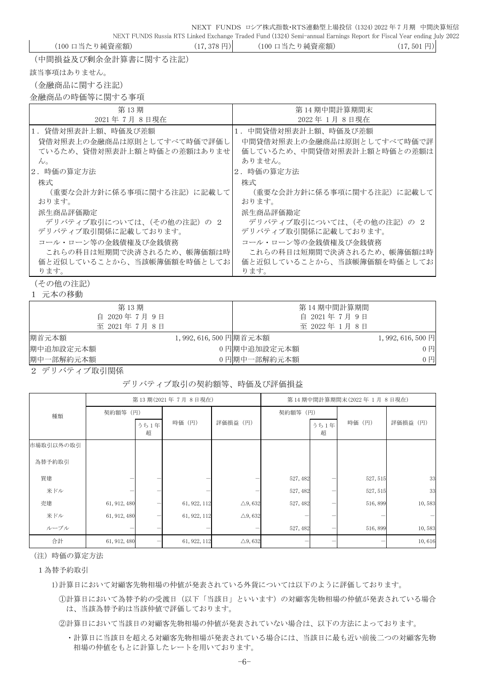NEXT FUNDS ロシア株式指数・RTS連動型上場投信 (1324) 2022 年 7 月期 中間決算短信

NEXT FUNDS Russia RTS Linked Exchange Traded Fund (1324) Semi-annual Earnings Report for Fiscal Year ending July 2022 (100 口当たり純資産額) (17,378 円) (100 口当たり純資産額) (17,501 円)

(中間損益及び剰余金計算書に関する注記)

該当事項はありません。

(金融商品に関する注記)

金融商品の時価等に関する事項

| 第13期                       | 第 14 期中間計算期間末              |
|----------------------------|----------------------------|
| 2021年7月8日現在                | 2022年1月8日現在                |
| 1. 貸借対照表計上額、時価及び差額         | 1. 中間貸借対照表計上額、時価及び差額       |
| 貸借対照表上の金融商品は原則としてすべて時価で評価し | 中間貸借対照表上の金融商品は原則としてすべて時価で評 |
| ているため、貸借対照表計上額と時価との差額はありませ | 価しているため、中間貸借対照表計上額と時価との差額は |
| $\mathcal{W}_{\alpha}$     | ありません。                     |
| 2. 時価の算定方法                 | 2. 時価の算定方法                 |
| 株式                         | 株式                         |
| (重要な会計方針に係る事項に関する注記)に記載して  | (重要な会計方針に係る事項に関する注記)に記載して  |
| おります。                      | おります。                      |
| 派生商品評価勘定                   | 派生商品評価勘定                   |
| デリバティブ取引については、(その他の注記)の2   | デリバティブ取引については、(その他の注記)の2   |
| デリバティブ取引関係に記載しております。       | デリバティブ取引関係に記載しております。       |
| コール・ローン等の金銭債権及び金銭債務        | コール・ローン等の金銭債権及び金銭債務        |
| これらの科目は短期間で決済されるため、帳簿価額は時  | これらの科目は短期間で決済されるため、帳簿価額は時  |
| 価と近似していることから、当該帳簿価額を時価としてお | 価と近似していることから、当該帳簿価額を時価としてお |
| ります。                       | ります。                       |

(その他の注記)

1 元本の移動

| 第13期        |                      |             | 第14期中間計算期間  |                   |
|-------------|----------------------|-------------|-------------|-------------------|
| 自 2020年7月9日 |                      |             | 自 2021年7月9日 |                   |
| 至 2021年7月8日 |                      |             | 至 2022年1月8日 |                   |
| 期首元本額       | 1,992,616,500 円期首元本額 |             |             | $1,992,616,500$ 円 |
| 期中追加設定元本額   |                      | 0円期中追加設定元本額 |             | $0$ 円             |
| 期中一部解約元本額   |                      | 0円期中一部解約元本額 |             | $0$ $H$           |
|             |                      |             |             |                   |

2 デリバティブ取引関係

#### デリバティブ取引の契約額等、時価及び評価損益

|           | 第13期(2021年7月8日現在) |           |              | 第14期中間計算期間末(2022年1月8日現在) |          |           |          |          |
|-----------|-------------------|-----------|--------------|--------------------------|----------|-----------|----------|----------|
| 種類        | 契約額等 (円)          |           |              |                          | 契約額等 (円) |           |          |          |
|           |                   | うち1年<br>超 | 時価 (円)       | 評価損益 (円)                 |          | うち1年<br>超 | 時価 (円)   | 評価損益 (円) |
| 市場取引以外の取引 |                   |           |              |                          |          |           |          |          |
| 為替予約取引    |                   |           |              |                          |          |           |          |          |
| 買建        |                   |           |              |                          | 527, 482 |           | 527, 515 | 33       |
| 米ドル       |                   |           |              |                          | 527, 482 |           | 527, 515 | 33       |
| 売建        | 61, 912, 480      |           | 61, 922, 112 | $\triangle$ 9,632        | 527, 482 |           | 516,899  | 10,583   |
| 米ドル       | 61, 912, 480      |           | 61, 922, 112 | $\triangle$ 9,632        |          |           |          |          |
| ルーブル      |                   |           |              |                          | 527, 482 |           | 516,899  | 10,583   |
| 合計        | 61, 912, 480      |           | 61, 922, 112 | $\triangle$ 9, 632       |          |           |          | 10,616   |

(注)時価の算定方法

1為替予約取引

1)計算日において対顧客先物相場の仲値が発表されている外貨については以下のように評価しております。

①計算日において為替予約の受渡日(以下「当該日」といいます)の対顧客先物相場の仲値が発表されている場合 は、当該為替予約は当該仲値で評価しております。

②計算日において当該日の対顧客先物相場の仲値が発表されていない場合は、以下の方法によっております。

・計算日に当該日を超える対顧客先物相場が発表されている場合には、当該日に最も近い前後二つの対顧客先物 相場の仲値をもとに計算したレートを用いております。